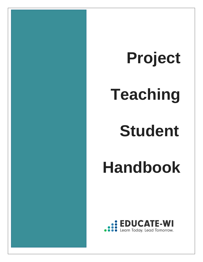# **Project**

# **Teaching**

## **Student**

**Handbook**

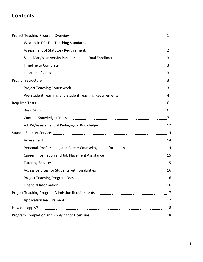## **Contents**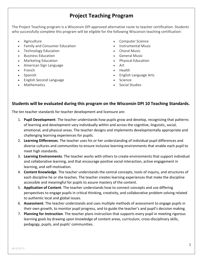## **Project Teaching Program**

The Project Teaching program is a Wisconsin DPI approved alternative route to teacher certification. Students who successfully complete this program will be eligible for the following Wisconsin teaching certification:

- **Agriculture**
- Family and Consumer Education
- Technology Education
- Business Education
- Marketing Education
- American Sign Language
- French
- Spanish
- English Second Language
- **Mathematics**
- Computer Science
- Instrumental Music
- Choral Music
- General Music
- Physical Education
- Art
- Health
- English Language Arts
- **Science**
- Social Studies

#### **Students will be evaluated during this program on the Wisconsin DPI 10 Teaching Standards.**

The ten teacher standards for teacher development and licensure are:

- 1. **Pupil Development**. The teacher understands how pupils grow and develop, recognizing that patterns of learning and development vary individually within and across the cognitive, linguistic, social, emotional, and physical areas. The teacher designs and implements developmentally appropriate and challenging learning experiences for pupils.
- 2. **Learning Differences**. The teacher uses his or her understanding of individual pupil differences and diverse cultures and communities to ensure inclusive learning environments that enable each pupil to meet high standards.
- 3. **Learning Environments**. The teacher works with others to create environments that support individual and collaborative learning, and that encourage positive social interaction, active engagement in learning, and self-motivation.
- 4. **Content Knowledge**. The teacher understands the central concepts, tools of inquiry, and structures of each discipline he or she teaches. The teacher creates learning experiences that make the discipline accessible and meaningful for pupils to assure mastery of the content.
- 5. **Application of Content**. The teacher understands how to connect concepts and use differing perspectives to engage pupils in critical thinking, creativity, and collaborative problem solving related to authentic local and global issues.
- 6. **Assessment**. The teacher understands and uses multiple methods of assessment to engage pupils in their own growth, to monitor pupil progress, and to guide the teacher's and pupil's decision making.
- 7. **Planning for Instruction**. The teacher plans instruction that supports every pupil in meeting rigorous learning goals by drawing upon knowledge of content areas, curriculum, cross-disciplinary skills, pedagogy, pupils, and pupils' communities.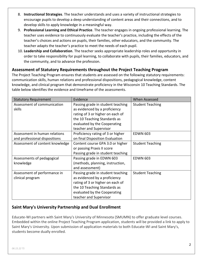- 8. **Instructional Strategies**. The teacher understands and uses a variety of instructional strategies to encourage pupils to develop a deep understanding of content areas and their connections, and to develop skills to apply knowledge in a meaningful way.
- 9. **Professional Learning and Ethical Practice**. The teacher engages in ongoing professional learning. The teacher uses evidence to continuously evaluate the teacher's practice, including the effects of the teacher's choices and actions on pupils, their families, other educators, and the community. The teacher adapts the teacher's practice to meet the needs of each pupil.
- 10. **Leadership and Collaboration**. The teacher seeks appropriate leadership roles and opportunity in order to take responsibility for pupil learning, to collaborate with pupils, their families, educators, and the community, and to advance the profession.

### **Assessment of Statutory Requirements throughout the Project Teaching Program**

The Project Teaching Program ensures that students are assessed on the following statutory requirements: communication skills, human relations and professional dispositions, pedagogical knowledge, content knowledge, and clinical program that demonstrate proficiency in the Wisconsin 10 Teaching Standards. The table below identifies the evidence and timeframe of the assessments.

| <b>Statutory Requirement</b>    | Evidence                          | <b>When Assessed</b>    |
|---------------------------------|-----------------------------------|-------------------------|
| Assessment of communication     | Passing grade in student teaching | <b>Student Teaching</b> |
| skills                          | as evidenced by a proficiency     |                         |
|                                 | rating of 3 or higher on each of  |                         |
|                                 | the 10 Teaching Standards as      |                         |
|                                 | evaluated by the Cooperating      |                         |
|                                 | teacher and Supervisor            |                         |
| Assessment in human relations   | Proficiency rating of 3 or higher | <b>EDWN 603</b>         |
| and professional dispositions   | on final Disposition Evaluation   |                         |
| Assessment of content knowledge | Content course GPA 3.0 or higher  | <b>Student Teaching</b> |
|                                 | or passing Praxis II score        |                         |
|                                 | Passing grade in student teaching |                         |
| Assessments of pedagogical      | Passing grade in EDWN 603         | <b>EDWN 603</b>         |
| knowledge                       | (methods, planning, instruction,  |                         |
|                                 | and assessment)                   |                         |
| Assessment of performance in    | Passing grade in student teaching | <b>Student Teaching</b> |
| clinical program                | as evidenced by a proficiency     |                         |
|                                 | rating of 3 or higher on each of  |                         |
|                                 | the 10 Teaching Standards as      |                         |
|                                 | evaluated by the Cooperating      |                         |
|                                 | teacher and Supervisor            |                         |

## **Saint Mary's University Partnership and Dual Enrollment**

Educate-WI partners with Saint Mary's University of Minnesota (SMUMN) to offer graduate level courses. Embedded within the online Project Teaching Program application, students will be provided a link to apply to Saint Mary's University. Upon submission of application materials to both Educate-WI and Saint Mary's, students become dually enrolled.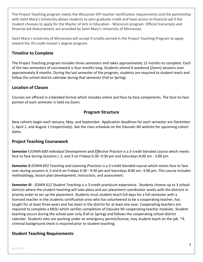The Project Teaching program meets the Wisconsin DPI teacher certification requirements and the partnership with Saint Mary's University allows students to earn graduate credit and have access to financial aid if the student chooses to apply for the Master of Arts in Education - Wisconsin program. Official transcripts and financial aid disbursement are provided by Saint Mary's University of Minnesota

Saint Mary's University of Minnesota will accept 9 credits earned in the Project Teaching Program to apply toward the 33-credit master's degree program.

## **Timeline to Complete**

The Project Teaching program includes three semesters and takes approximately 12 months to complete. Each of the two semesters of coursework is four months long. Students attend 6-weekend (Zoom) sessions over approximately 8 months. During the last semester of the program, students are required to student teach and follow the school district calendar during that semester (Fall or Spring).

### **Location of Classes**

Courses are offered in a blended format which includes online and face-to-face components. The face-to-face portion of each semester is held via Zoom.

### **Program Structure**

New cohorts begin each January, May, and September. Application deadlines for each semester are December 1, April 1, and August 1 (respectively). [See the class schedule on the Educate-WI website for upcoming cohort](https://www.educate-wi.com/content/programs/project-teaching/calendar)  [dates.](https://www.educate-wi.com/content/programs/project-teaching/calendar)

### **Project Teaching Coursework**

**Semester I** *EDWN 600 Individual Development and Effective Practice* is a 3-credit blended course which meets face to face during Sessions I, 2, and 3 on Fridays 6:30- 9:30 pm and Saturdays 8:00 am - 3:00 pm.

**Semester II** *EDWN 603 Teaching and Learning Practices* is a 3-credit blended course which meets face to face over during sessions 4, 5 and 6 on Fridays 6:30 - 9:30 pm and Saturdays 8:00 am -3:00 pm. This course includes methodology, lesson plan development, instruction, and assessment.

**Semester III** - *EDWN 612 Student Teaching* is a 3-credit practicum experience. Students choose up to 3 school districts where the student teaching will take place and our placement coordinator works with the districts in priority order to set up the placement. Students must student teach full days for a full semester with a licensed teacher in the students certification area who has volunteered to be a cooperating teacher, has taught for at least three years and has been in the district for at least one year. Cooperating teachers are required to complete a MOU which verifies completion of Educate-WI cooperating teacher modules. Student teaching occurs during the school year only (Fall or Spring) and follows the cooperating school district calendar. Students who are working under an emergency permit/license, may student teach on the job. \*A criminal background check is required prior to student teaching.

### **Student Teaching Requirements**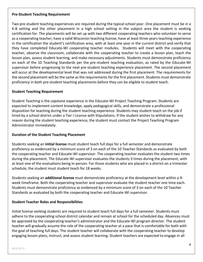#### **Pre-Student Teaching Requirement**

Two pre-student teaching experiences are required during the typical school year. One placement must be in a K-8 setting and the other placement in a high school setting in the subject area the student is seeking certification for. The placements will be set up with two different cooperating teachers who volunteer to serve as a cooperating teacher, have a valid Wisconsin teaching license, have at least three years teaching experience in the certification the student's certification area, with at least one year in the current district and verify that they have completed Educate-WI cooperating teacher modules. Students will meet with the cooperating teacher, observe the classroom, collaborate with the cooperating teacher to create a lesson plan, teach the lesson plan, assess student learning, and make necessary adjustments. Students must demonstrate proficiency on each of the 10 Teaching Standards per the pre-student teaching evaluation, as rated by the Educate-WI supervisor before progressing to the next pre-student teaching experience placement. The second placement will occur at the developmental level that was not addressed during the first placement. The requirements for the second placement will be the same as the requirements for the first placement. Students must demonstrate proficiency in both pre-student teaching placements before they can be eligible to student teach.

#### **Student Teaching Requirement**

Student Teaching is the capstone experience in the Educate-WI Project Teaching Program. Students are expected to implement content knowledge, apply pedagogical skills, and demonstrate a professional disposition for teaching during the student teaching experience. Students may student teach on the job if hired by a school district under a Tier I License with Stipulations. If the student wishes to withdraw for any reason during the student teaching experience, the student must contact the Project Teaching Program Administrator immediately.

### **Duration of the Student Teaching Placement**

Students seeking an **initial license** must student teach full days for a full semester and demonstrate proficiency as evidenced by a minimum score of 3 on each of the 10 Teacher Standards as evaluated by both the cooperating teacher and Educate-WI supervisor. The cooperating teacher evaluates the student two times during the placement. The Educate-WI supervisor evaluates the students 3 times during the placement, with at least one of the evaluations being in-person. For those students who are placed in a district on a trimester schedule, the student must student teach for 18 weeks.

Students seeking an **additional license** must demonstrate proficiency at the development level within a 9 week timeframe. Both the cooperating teacher and supervisor evaluate the student teacher one time each. Students must demonstrate proficiency as evidenced by a minimum score of 3 on each of the 10 Teacher Standards as evaluated by both the cooperating teacher and Educate-WI supervisor.

### **Student Teacher Roles and Responsibilities**

Initial license seeking students are required to student teach full days for a full semester. Students must adhere to the cooperating school district calendar and remain at school for the scheduled day. Absences must be approved by the cooperating teacher's administrator and the Educate-WI program director. The student teacher will gradually assume the role of the cooperating teacher at a pace that is comfortable for both with the goal of teaching full days. The student teacher will collaborate with the cooperating teacher to develop engaging lesson plans, instruct, and assess student learning. Student teachers are expected to engage in all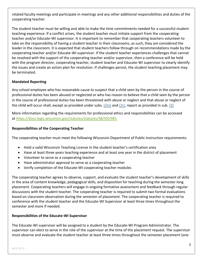related faculty meetings and participate in meetings and any other additional responsibilities and duties of the cooperating teacher.

The student teacher must be willing and able to make the time commitments needed for a successful student teaching experience. If a conflict arises, the student teacher must initiate support from the cooperating teacher and/or Educate-WI supervisor. It is important to remember that cooperating teachers volunteer to take on the responsibility of having a student teacher in their classrooms, as such, they are considered the leader in the classroom. It is expected that student teachers follow through on recommendations made by the cooperating teacher and/or Educate-WI supervisor. If the student teacher experiences challenges that cannot be resolved with the support of the cooperating teacher and/or supervisor, then a conference will be held with the program director, cooperating teacher, student teacher and Educate-WI supervisor to clearly identify the issues and create an action plan for resolution. If challenges persist, the student teaching placement may be terminated.

#### **Mandated Reporting**

Any school employee who has reasonable cause to suspect that a child seen by the person in the course of professional duties has been abused or neglected or who has reason to believe that a child seen by the person in the course of professional duties has been threatened with abuse or neglect and that abuse or neglect of the child will occur shall, except as provided under subs. [\(2m\)](https://docs.legis.wisconsin.gov/document/statutes/48.981(2m)) and [\(2r\),](https://docs.legis.wisconsin.gov/document/statutes/48.981(2r)) report as provided in sub. [\(3\)](https://docs.legis.wisconsin.gov/document/statutes/48.981(3))

More information regarding the requirements for professional ethics and responsibilities can be accessed at <https://docs.legis.wisconsin.gov/statutes/statutes/48/XXI/981>

#### **Responsibilities of the Cooperating Teacher**

The cooperating teacher must meet the following Wisconsin Department of Public Instruction requirements:

- Hold a valid Wisconsin Teaching License in the student teacher's certification area
- Have at least three years teaching experience and at least one year in the district of placement
- Volunteer to serve as a cooperating teacher
- Have administrator approval to serve as a cooperating teacher
- Verify completion of the Educate-WI cooperating teacher modules

The cooperating teacher agrees to observe, support, and evaluate the student teacher's development of skills in the area of content knowledge, pedagogical skills, and disposition for teaching during the semester long placement. Cooperating teachers will engage in ongoing formative assessment and feedback through regular discussions with the student teacher. The cooperating teacher is required to submit two formal evaluations based on classroom observation during the semester of placement. The cooperating teacher is required to conference with the student teacher and the Educate-WI Supervisor at least three times throughout the semester and more if needed.

#### **Responsibilities of the Educate-WI Supervisor**

The Educate-WI supervisor will be assigned to a student by the Educate-WI Program Administrator. The supervisor can elect to serve in the role of the supervisor at the time of the placement request. The supervisor must observe and evaluate the student teacher at least three times throughout the semester placement (one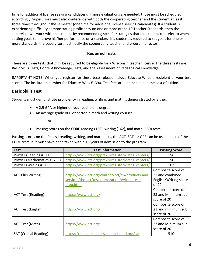time for additional license seeking candidates). If more evaluations are needed, those must be scheduled accordingly. Supervisors must also conference with both the cooperating teacher and the student at least three times throughout the semester (one time for additional license seeking candidates). If a student is experiencing difficulty demonstrating proficiency on one or more of the 10 Teacher Standards, then the supervisor will work with the student by recommending specific strategies that the student can refer to when setting goals to improve his/her performance on a standard. If a student is required to set goals for one or more standards, the supervisor must notify the cooperating teacher and program director.

### **Required Tests**

There are three tests that *may* be required to be eligible for a Wisconsin teacher license. The three tests are: Basic Skills Tests, Content Knowledge Tests, and the Assessment of Pedagogical Knowledge.

IMPORTANT NOTE: When you register for these tests, please include Educate-WI as a recipient of your test scores. The institution number for Educate-WI is #1390. Test fees are not included in the cost of tuition.

#### **Basic Skills Test**

Students must demonstrate proficiency in reading, writing, and math is demonstrated by either:

- A 2.5 GPA or higher on your bachelor's degree
- An average grade of C or better in math and writing courses

**or**

• Passing scores on the CORE reading (156), writing (162), and math (150) tests

Passing scores on the Praxis I reading, writing, and math tests, the ACT, SAT, or GRE can be used in lieu of the CORE tests, but must have been taken within 10 years of admission to the program.

| <b>Test</b>                   | <b>Test Information</b>                            | <b>Passing Score</b>  |
|-------------------------------|----------------------------------------------------|-----------------------|
| Praxis I (Reading #5713)      | https://www.ets.org/praxis/register/dates_centers/ | 156                   |
| Praxis I (Mathematics #5733)  | https://www.ets.org/praxis/register/dates_centers/ | 150                   |
| Praxis I (Writing #5723)      | https://www.ets.org/praxis/register/dates_centers/ | 162                   |
|                               |                                                    | Composite score of    |
| <b>ACT Plus Writing</b>       | https://www.act.org/content/act/en/products-and-   | 22 and combined       |
|                               | services/the-act/test-preparation/writing-test-    | English/Writing score |
|                               | prep.html                                          | of 20                 |
|                               |                                                    | Composite score of    |
| <b>ACT Test (Reading)</b>     | https://www.act.org/                               | 23 and Minimum sub    |
|                               |                                                    | score of 20           |
|                               |                                                    | Composite score of    |
| <b>ACT Test (English)</b>     | https://www.act.org/                               | 23 and minimum sub    |
|                               |                                                    | score of 20           |
|                               |                                                    | Composite score of    |
| ACT Test (Math)               | https://www.act.org/                               | 23 and Minimum sub    |
|                               |                                                    | score of 20           |
| <b>SAT (Critical Reading)</b> | https://collegereadiness.collegeboard.org/sat      | 510                   |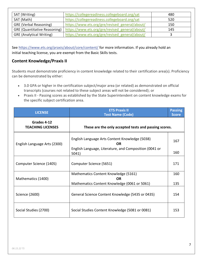| SAT (Writing)                       | https://collegereadiness.collegeboard.org/sat  | 480 |
|-------------------------------------|------------------------------------------------|-----|
| SAT (Math)                          | https://collegereadiness.collegeboard.org/sat  | 520 |
| <b>GRE (Verbal Reasoning)</b>       | https://www.ets.org/gre/revised general/about/ | 150 |
| <b>GRE (Quantitative Reasoning)</b> | https://www.ets.org/gre/revised general/about/ | 145 |
| <b>GRE</b> (Analytical Writing)     | https://www.ets.org/gre/revised general/about/ |     |

See <https://www.ets.org/praxis/about/core/content/> for more information. If you already hold an initial teaching license, you are exempt from the Basic Skills tests.

## **Content Knowledge/Praxis II**

Students must demonstrate proficiency in content knowledge related to their certification area(s). Proficiency can be demonstrated by either:

- 3.0 GPA or higher in the certification subject/major area (or related) as demonstrated on official transcripts (courses not related to these subject areas will not be considered); or
- Praxis II Passing scores as established by the State Superintendent on content knowledge exams for the specific subject certification area.

| <b>LICENSE</b>                          | <b>ETS Praxis II</b><br><b>Test Name (Code)</b>                 |     |
|-----------------------------------------|-----------------------------------------------------------------|-----|
| Grades 4-12<br><b>TEACHING LICENSES</b> | These are the only accepted tests and passing scores.           |     |
| English Language Arts (2300)            | English Language Arts Content Knowledge (5038)<br>OR            | 167 |
|                                         | English Language, Literature, and Composition (0041 or<br>5041) | 160 |
| Computer Science (1405)                 | Computer Science (5651)                                         | 171 |
| Mathematics (1400)                      | Mathematics Content Knowledge (5161)<br><b>OR</b>               | 160 |
|                                         | Mathematics Content Knowledge (0061 or 5061)                    | 135 |
| Science (2600)                          | General Science Content Knowledge (5435 or 0435)                | 154 |
| Social Studies (2700)                   | Social Studies Content Knowledge (5081 or 0081)                 | 153 |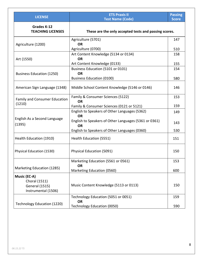| <b>LICENSE</b>                                                                | <b>ETS Praxis II</b><br><b>Test Name (Code)</b>                         | <b>Passing</b><br><b>Score</b> |  |
|-------------------------------------------------------------------------------|-------------------------------------------------------------------------|--------------------------------|--|
| Grades K-12<br><b>TEACHING LICENSES</b>                                       | These are the only accepted tests and passing scores.                   |                                |  |
| Agriculture (1200)                                                            | Agriculture (5701)<br><b>OR</b>                                         | 147                            |  |
| Art (1550)                                                                    | Agriculture (0700)<br>Art Content Knowledge (5134 or 0134)<br><b>OR</b> | 510<br>158                     |  |
|                                                                               | Art Content Knowledge (0133)<br>Business Education (5101 or 0101)       | 155<br>154                     |  |
| <b>Business Education (1250)</b>                                              | <b>OR</b><br><b>Business Education (0100)</b>                           | 580                            |  |
| American Sign Language (1348)                                                 | Middle School Content Knowledge (5146 or 0146)                          |                                |  |
| <b>Family and Consumer Education</b><br>(1210)                                | Family & Consumer Sciences (5122)<br><b>OR</b>                          | 153                            |  |
|                                                                               | Family & Consumer Sciences (0121 or 5121)                               | 159                            |  |
|                                                                               | English to Speakers of Other Languages (5362)<br><b>OR</b>              | 149                            |  |
| English As a Second Language<br>(1395)                                        | English to Speakers of Other Languages (5361 or 0361)<br><b>OR</b>      | 143                            |  |
|                                                                               | English to Speakers of Other Languages (0360)                           | 530                            |  |
| Health Education (1910)                                                       | Health Education (5551)                                                 | 151                            |  |
| Physical Education (1530)                                                     | <b>Physical Education (5091)</b>                                        | 150                            |  |
|                                                                               | Marketing Education (5561 or 0561)<br><b>OR</b>                         | 153                            |  |
| Marketing Education (1285)                                                    | Marketing Education (0560)                                              | 600                            |  |
| Music (EC-A)<br>Choral (1511)<br><b>General (1515)</b><br>Instrumental (1506) | Music Content Knowledge (5113 or 0113)                                  | 150                            |  |
| Technology Education (1220)                                                   | Technology Education (5051 or 0051)<br><b>OR</b>                        | 159<br>590                     |  |
| Technology Education (0050)                                                   |                                                                         |                                |  |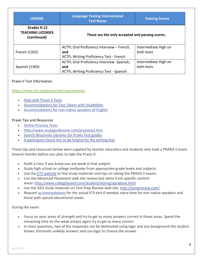| <b>LICENSE</b>                                         | <b>Language Testing International</b><br><b>Test Name</b> | <b>Passing Scores</b> |
|--------------------------------------------------------|-----------------------------------------------------------|-----------------------|
| Grades K-12<br><b>TEACHING LICENSES</b><br>(continued) | These are the only accepted and passing scores.           |                       |
|                                                        | ACTFL Oral Proficiency Interview - French,                | Intermediate High on  |
| French (1355)                                          | and<br><b>ACTFL Writing Proficiency Test - French</b>     | both tests            |
|                                                        |                                                           |                       |
|                                                        | ACTFL Oral Proficiency Interview -Spanish,                | Intermediate High on  |
| Spanish (1365)                                         | and                                                       | both tests            |
|                                                        | <b>ACTFL Writing Proficiency Test - Spanish</b>           |                       |

#### Praxis II Test Information

#### <https://www.ets.org/praxis/wi/requirements>

- Help with [Praxis II Tests](https://www.ets.org/praxis/prepare/tips/)
- [Accommodations for Test Takers with Disabilities](http://www.ets.org/praxis/prxdsabl.html)
- [Accommodations for non-native speakers of English](https://www.ets.org/praxis/register/plne_accommodations/)

#### Praxis Tips and Resources

- [Online Practice Tests](http://www.testprepreview.com/praxis_practice.htm)
- <http://www.studyguidezone.com/praxistest.htm>
- [Search Wisconsin Libraries for Praxis Test guides](http://www.wiscat.net/)
- [A participant found this to be helpful for the writing test](https://sat.collegeboard.org/practice/sat-practice-questions-writing/sentence-errors)

These tips and resources below were supplied by teacher educators and students who took a PRAXIS II exam. Several months before you plan to take the Praxis II:

- Audit a class if you know you are weak in that subject.
- Study high school or college textbooks from appropriate grade levels and subjects.
- Use the [ETS website](http://ets.org/portal/site/ets/menuitem.c988ba0e5dd572bada20bc47c3921509/?vgnextoid=318baf5e44df4010VgnVCM10000022f95190RCRD&vgnextchannel=d378197a484f4010VgnVCM10000022f95190RCRD) to find study materials and tips on taking the PRAXIS II exams.
- Use the Advanced Placement web site review test items from specific content areas: <http://www.collegeboard.com/student/testing/ap/about.html>
- Use the GED study materials on Test Prep Review web site: <http://testpreview.com/>
- Request [accommodations](http://www.ets.org/portal/site/ets/menuitem.1488512ecfd5b8849a77b13bc3921509/?vgnextoid=ff68af5e44df4010VgnVCM10000022f95190RCRD&vgnextchannel=37d75ee3d74f4010VgnVCM10000022f95190RCRD) for the actual ETS test if needed: extra time for non-native speakers and those with special educational needs.

During the exam:

- Focus on your areas of strength and try to get as many answers correct in those areas. Spend the remaining time on the weak area(s) again try to get as many correct.
- In most questions, two of the responses can be eliminated using logic and any background the student knows. Eliminate unlikely answers and use logic to choose the answer.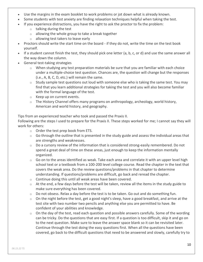- Use the margins in the exam booklet to work problems or jot down what is already known.
- Some students with test anxiety are finding relaxation techniques helpful when taking the test.
- If you experience distractions, you have the right to ask the proctor to fix the problem:
	- $\circ$  talking during the test
	- $\circ$  allowing the whole group to take a break together
	- o allowing test takers to leave early
- Proctors should write the start time on the board if they do not, write the time on the test book yourself.
- If a student cannot finish the test, they should pick one letter (a, b, c, or d) and use the same answer all the way down the column.
- General test-taking strategies
	- $\circ$  When studying any test preparation materials be sure that you are familiar with each choice under a multiple-choice test question. Chances are, the question will change but the responses (i.e., A, B, C, D, etc.) will remain the same.
	- $\circ$  Study sample test questions out loud with someone else who is taking the same test. You may find that you learn additional strategies for taking the test and you will also become familiar with the formal language of the test.
	- o Keep up on current events.
	- o The History Channel offers many programs on anthropology, archeology, world history, American and world history, and geography.

Tips from an experienced teacher who took and passed the Praxis II.

Following are the steps I used to prepare for the Praxis II. These steps worked for me; I cannot say they will work for others:

- o Order the test prep book from ETS.
- $\circ$  Go through the outline that is presented in the study guide and assess the individual areas that are strengths and weaknesses.
- o Do a cursory review of the information that is considered strong-easily remembered. Do not spend a great deal of time on these areas, just enough to keep the information mentally organized.
- $\circ$  Go on to the areas identified as weak. Take each area and correlate it with an upper level high school text or a textbook from a 100-200 level college course. Read the chapter in the text that covers the weak area. Do the review questions/problems in that chapter to determine understanding. If questions/problems are difficult, go back and reread the chapter.
- $\circ$  Continue doing this until all weak areas have been covered.
- $\circ$  At the end, a few days before the test will be taken, review all the items in the study guide to make sure everything has been covered.
- $\circ$  Do not obsess. Relax a day before the test is to be taken. Go out and do something fun.
- $\circ$  On the night before the test, get a good night's sleep, have a good breakfast, and arrive at the test site with two number two pencils and anything else you are permitted to have. Be confident of your abilities and knowledge.
- $\circ$  On the day of the test, read each question and possible answers carefully. Some of the wording can be tricky. Do the questions that are easy first. If a question is too difficult, skip it and go on to the next question. Make sure to leave the answer space blank so it can be revisited later. Continue through the test doing the easy questions first. When all the questions have been covered, go back to the difficult questions that need to be answered and slowly, carefully try to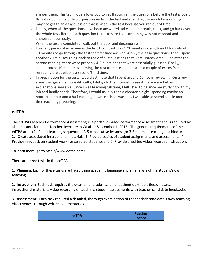answer them. This technique allows you to get through all the questions before the test is over. By not skipping the difficult question early in the test and spending too much time on it, you may not get to an easy question that is later in the test because you ran out of time.

- o Finally, when all the questions have been answered, take a deep breath, relax, and go back over the whole test. Reread each question to make sure that something was not misread and answered incorrectly.
- o When the test is completed, walk out the door and decompress.
- $\circ$  From my personal experience, the test that I took was 120 minutes in length and I took about 70 minutes to go through the test the first time answering only the easy questions. Then I spent another 20 minutes going back to the difficult questions that were unanswered. Even after the second reading, there were probably 4-6 questions that were essentially guesses. Finally, I spent around 10 minutes skimming the rest of the test. I did catch a couple of errors from rereading the questions a second/third time.
- $\circ$  In preparation for the test, I would estimate that I spent around 60 hours reviewing. On a few areas that gave me more difficulty, I did go to the Internet to see if there were better explanations available. Since I was teaching full time, I felt I had to balance my studying with my job and family needs. Therefore, I would usually read a chapter a night, spending maybe an hour to an hour and a half each night. Once school was out, I was able to spend a little more time each day preparing.

#### **edTPA**

The edTPA (Teacher Performance Assessment) is a portfolio-based performance assessment and is required by all applicants for Initial Teacher licensure in WI after September 1, 2015. The general requirements of the edTPA are to 1. Plan a learning sequence of 3-5 consecutive lessons (or 3-5 hours of teaching in a block); 2. Create associated instructional materials; 3. Provide copies of student assignments and assessments; 4. Provide feedback on student work-for selected students and 5. Provide unedited video recorded instruction.

To learn more, go to<http://www.edtpa.com/>

There are three tasks in the edTPA:

1. **Planning:** Each of these tasks are linked using academic language and an analysis of the student's own teaching.

2. **Instruction:** Each task requires the creation and submission of authentic artifacts (lesson plans, instructional materials, video recording of teaching, student assessments with teacher candidate feedback).

3. **Assessment:** Each task required a detailed, thorough examination of the teacher candidate's own teaching effectiveness through written commentaries.

| edTPA | <b>Passing</b><br><b>Score</b> |
|-------|--------------------------------|
|       |                                |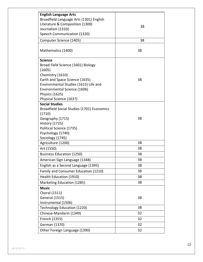| <b>English Language Arts</b>                     |    |
|--------------------------------------------------|----|
| Broadfield Language Arts (1301) English          |    |
| Literature & Composition (1300)                  | 38 |
| Journalism (1310)                                |    |
| Speech Communication (1320)                      |    |
| Computer Science (1405)                          | 38 |
| Mathematics (1400)                               | 38 |
| <b>Science</b>                                   |    |
| Broad Field Science (1601) Biology               |    |
| (1605)                                           |    |
| Chemistry (1610)                                 |    |
| Earth and Space Science (1635)                   | 38 |
| Environmental Studies (1615) Life and            |    |
| Environmental Science (1606)                     |    |
| <b>Physics (1625)</b>                            |    |
| Physical Science (1637)<br><b>Social Studies</b> |    |
| Broadfield Social Studies (1701) Economics       |    |
| (1710)                                           |    |
| Geography (1715)                                 | 38 |
| <b>History (1725)</b>                            |    |
| Political Science (1735)                         |    |
| Psychology (1740)                                |    |
| Sociology (1745)                                 |    |
| Agriculture (1200)                               | 38 |
| Art (1550)                                       | 38 |
| <b>Business Education (1250)</b>                 | 38 |
| American Sign Language (1348)                    | 38 |
| English as a Second Language (1395)              | 38 |
| Family and Consumer Education (1210)             | 38 |
| Health Education (1910)                          | 38 |
| Marketing Education (1285)                       | 38 |
| <b>Music</b>                                     |    |
| Choral (1511)                                    |    |
| <b>General (1515)</b>                            | 38 |
| Instrumental (1506)                              |    |
| <b>Technology Education (1220)</b>               | 38 |
| Chinese-Mandarin (1349)                          | 32 |
| French (1355)                                    | 32 |
| German (1370)                                    | 32 |
| Other Foreign Language (1390)                    | 32 |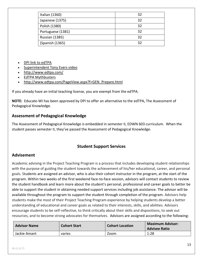| Italian (1360)        | 32 |
|-----------------------|----|
| Japanese (1375)       | 32 |
| Polish (1380)         | 32 |
| Portuguese (1381)     | 32 |
| <b>Russian (1385)</b> | 32 |
| (Spanish (1365)       | 32 |

- [DPI link to edTPA](https://dpi.wi.gov/tepdl/epp/edtpa)
- [Superintendent Tony Evers video](http://youtu.be/lD4KuGIHwo4)
- <http://www.edtpa.com/>
- [EdTPA Mythbusters](https://www.educate-wi.com/uploads/content_files/files/edtpa-myth-busters.pdf)
- [http://www.edtpa.com/PageView.aspx?f=GEN\\_Prepare.html](http://www.edtpa.com/PageView.aspx?f=GEN_Prepare.html)

If you already have an initial teaching license, you are exempt from the edTPA.

**NOTE:** Educate-WI has been approved by DPI to offer an alternative to the edTPA, The Assessment of Pedagogical Knowledge.

### **Assessment of Pedagogical Knowledge**

The Assessment of Pedagogical Knowledge is embedded in semester II, EDWN 603 curriculum. When the student passes semester II, they've passed the Assessment of Pedagogical Knowledge.

### **Student Support Services**

### **Advisement**

Academic advising in the Project Teaching Program is a process that includes developing student relationships with the purpose of guiding the student towards the achievement of his/her educational, career, and personal goals. Students are assigned an advisor, who is also their cohort instructor in the program, at the start of the program. Within two weeks of the first weekend face-to-face session, advisors will contact students to review the student handbook and learn more about the student's personal, professional and career goals to better be able to support the student in obtaining needed support services including job assistance. The advisor will be available throughout the program to support the student through completion of the program. Advisors help students make the most of their Project Teaching Program experience by helping students develop a better understanding of educational and career goals as related to their interests, skills, and abilities. Advisors encourage students to be self-reflective, to think critically about their skills and dispositions, to seek out resources, and to become strong advocates for themselves. Advisors are assigned according to the following:

| <b>Advisor Name</b> | <b>Cohort Start</b> | <b>Cohort Location</b> | <b>Maximum Advisor:</b><br><b>Advisee Ratio</b> |
|---------------------|---------------------|------------------------|-------------------------------------------------|
| Jackie Amant        | varies              | Zoom                   | 1:28                                            |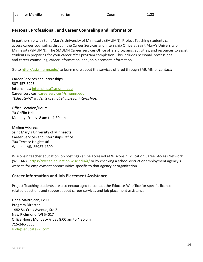| .<br>Melville.<br>. .<br>wu<br>.<br>__________ | varies<br>VG. | ົ<br>____ | ിറ<br>---<br>$\sim$ |
|------------------------------------------------|---------------|-----------|---------------------|
|                                                |               |           |                     |

#### **Personal, Professional, and Career Counseling and Information**

In partnership with Saint Mary's University of Minnesota (SMUMN), Project Teaching students can access career counseling through the Career Services and Internship Office at Saint Mary's University of Minnesota (SMUMN). The SMUMN Career Services Office offers programs, activities, and resources to assist students in preparing for your career after program completion. This includes personal, professional and career counseling, career information, and job placement information.

Go to <http://csi.smumn.edu/> to learn more about the services offered through SMUMN or contact:

Career Services and Internships 507-457-6995 Internships: [internships@smumn.edu](mailto:internships@smumn.edu) Career services: [careerservices@smumn.edu](mailto:careerservices@smumn.edu) *\*Educate-WI students are not eligible for internships.*

Office Location/Hours 70 Griffin Hall Monday–Friday: 8 am to 4:30 pm

Mailing Address Saint Mary's University of Minnesota Career Services and Internships Office 700 Terrace Heights #6 Winona, MN 55987-1399

Wisconsin teacher education job postings can be accessed at Wisconsin Education Career Access Network (WECAN) <https://wecan.education.wisc.edu/#/> or by checking a school district or employment agency's website for employment opportunities specific to that agency or organization.

#### **Career Information and Job Placement Assistance**

Project Teaching students are also encouraged to contact the Educate-WI office for specific licenserelated questions and support about career services and job placement assistance:

Linda Maitrejean, Ed.D. Program Director 1482 St. Croix Avenue, Ste 2 New Richmond, WI 54017 Office Hours Monday–Friday 8:00 am to 4:30 pm 715-246-6555 [linda@educate-wi.com](mailto:linda@educate-wi.com)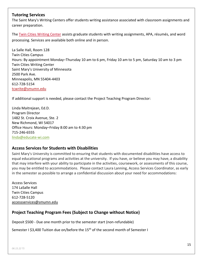#### **Tutoring Services**

The Saint Mary's Writing Centers offer students writing assistance associated with classroom assignments and career preparation.

The [Twin Cities Writing Center](http://tcwrite.smumn.edu/) assists graduate students with writing assignments, APA, résumés, and word processing. Services are available both online and in person.

La Salle Hall, Room 128 Twin Cities Campus Hours: By appointment Monday–Thursday 10 am to 6 pm, Friday 10 am to 5 pm, Saturday 10 am to 3 pm Twin Cities Writing Center Saint Mary's University of Minnesota 2500 Park Ave. Minneapolis, MN 55404-4403 612-728-5154 [tcwrite@smumn.edu](mailto:tcwrite@smumn.edu)

If additional support is needed, please contact the Project Teaching Program Director:

Linda Maitrejean, Ed.D. Program Director 1482 St. Croix Avenue, Ste. 2 New Richmond, WI 54017 Office Hours: Monday–Friday 8:00 am to 4:30 pm 715-246-6555 [linda@educate-wi.com](mailto:linda@educate-wi.com)

### **Access Services for Students with Disabilities**

Saint Mary's University is committed to ensuring that students with documented disabilities have access to equal educational programs and activities at the university. If you have, or believe you may have, a disability that may interfere with your ability to participate in the activities, coursework, or assessments of this course, you may be entitled to accommodations. Please contact Laura Lanning, Access Services Coordinator, as early in the semester as possible to arrange a confidential discussion about your need for accommodations:

Access Services 174 LaSalle Hall Twin Cities Campus 612-728-5120 [accessservices@smumn.edu](mailto:llanning@smumn.edu)

## **Project Teaching Program Fees (Subject to Change without Notice)**

Deposit \$500 - Due one month prior to the semester start (non-refundable)

Semester I \$3,400 Tuition due on/before the 15<sup>th</sup> of the second month of Semester I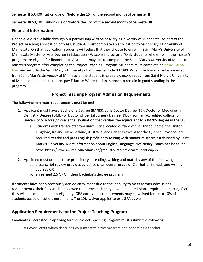Semester II \$3,400 Tuition due on/before the 15<sup>th</sup> of the second month of Semester II

Semester III \$3,400 Tuition due on/before the 15<sup>th</sup> of the second month of Semester III

## **Financial Information**

Financial Aid is available through our partnership with Saint Mary's University of Minnesota. As part of the Project Teaching application process, students must complete an application to Saint Mary's University of Minnesota. On that application, students will select that they choose to enroll in Saint Mary's University of Minnesota Master of Arts Degree in Education - Wisconsin program. \*Only students who enroll in the master's program are eligible for financial aid. A student may opt to complete the Saint Mary's University of Minnesota master's program after completing the Project Teaching Program. Students must complete an [online FAFSA](http://www.fafsa.ed.gov/)  [form](http://www.fafsa.ed.gov/) and include the Saint Mary's University of Minnesota Code 002380. When the financial aid is awarded from Saint Mary's University of Minnesota, the student is issued a check directly from Saint Mary's University of Minnesota and must, in turn, pay Educate-WI for tuition in order to remain in good standing in the program.

## **Project Teaching Program Admission Requirements**

The following minimum requirements must be met:

- 1. Applicant must have a Bachelor's Degree (BA/BS), Juris Doctor Degree (JD), Doctor of Medicine in Dentistry Degree (DMD) or Doctor of Dental Surgery Degree (DDS) from an accredited college: or university or a foreign credential evaluation that verifies the equivalent to a BA/BS degree in the U.S.
	- a. Students with transcripts from universities located outside of the United States, the United Kingdom, Ireland, New Zealand, Australia, and Canada (except for the Quebec Province) are required to take and pass English proficiency testing with minimum scores established by Saint Mary's University. More information about English Language Proficiency Exams can be found here: <https://www.smumn.edu/admission/graduate/international-students/apply>
- 2. Applicant must demonstrate proficiency in reading, writing and math by any of the following:
	- a. a transcript review provides evidence of an overall grade of C or better in math and writing courses OR
	- b. an earned 2.5 GPA in their bachelor's degree program

If students have been previously denied enrollment due to the inability to meet former admissions requirements, their files will be reviewed to determine if they now meet admissions requirements, and, if so, they will be contacted about eligibility. GPA admissions requirements may be waived for up to 10% of students based on cohort enrollment. The 10% waiver applies to exit GPA as well.

## **Application Requirements for the Project Teaching Program**

Candidates interested in applying for the Project Teaching Program must submit the following:

1. A **Cove**r **Letter** which describes your interest in the program and becoming a teacher.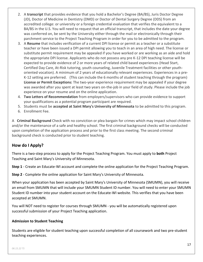- 2. A **transcript** that provides evidence that you hold a Bachelor's Degree (BA/BS), Juris Doctor Degree (JD), Doctor of Medicine in Dentistry (DMD) or Doctor of Dental Surgery Degree (DDS) from an accredited college: or university or a foreign credential evaluation that verifies the equivalent to a BA/BS in the U.S. You will need to request that an official transcript, that includes the date your degree was conferred on, be sent by the University either through the mail or electronically through their parchment service to the Project Teaching Program in order for you to be admitted to the program.
- 3. A **Resume** that includes verification of a current DPI license or permit as a teacher or a substitute teacher or have been issued a DPI permit allowing you to teach in an area of high need. The license or substitute permit requirement may be appealed if you have worked or are working as an aide and hold the appropriate DPI license. Applicants who do not possess any pre K-12 DPI teaching license will be expected to provide evidence of 2 or more years of related child based experiences (Head Start, Certified Day Care, At-Risk tutoring, youth counseling, Juvenile Treatment facilities or other youthoriented vocation). A minimum of 2 years of educationally relevant experiences. Experiences in a pre-K-12 setting are preferred. (This can include the 6 months of student teaching through the program) **License or Permit Exceptions:** The two-year experience requirement may be appealed if your degree was awarded after you spent at least two years on-the-job in your field of study. Please include the job experience on your resume and on the online application.
- 4. **Two Letters of Recommendation** from employers/supervisors who can provide evidence to support your qualifications as a potential program participant are required.
- 5. Students must be **accepted at Saint Mary's University of Minnesota** to be admitted to this program.
- 6. Enrollment Fee.

A **Criminal Background** Check with no conviction or plea bargain for crimes which may impact school children and/or the maintenance of a safe and healthy school. The first criminal background checks will be conducted upon completion of the application process and prior to the first class meeting. The second criminal background check is conducted prior to student teaching.

## **How do I Apply?**

There is a two-step process to apply for the Project Teaching Program. You must apply to **both** Project Teaching and Saint Mary's University of Minnesota.

**Step 1** - Create an Educate-WI account and complete the online application for the Project Teaching Program.

**Step 2** - Complete the online application for Saint Mary's University of Minnesota.

When your application has been accepted by Saint Mary's University of Minnesota (SMUMN), you will receive an email from SMUMN that will include your SMUMN Student ID number. You will need to enter your SMUMN Student ID number into your student account on the Educate-WI website. This verifies that you have been accepted at SMUMN.

You will NOT need to register for courses through SMUMN - you will be automatically registered upon successful submission of your Project Teaching application.

#### **Admission to Student Teaching**

Students are eligible for student teaching upon successful completion of all coursework and two pre-student teaching experiences.